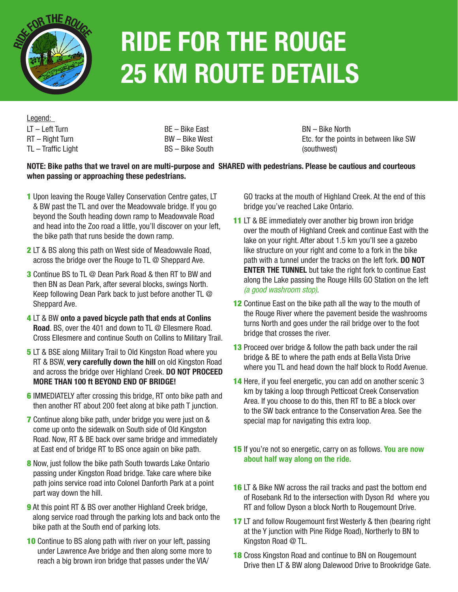

# **Ride for the rouge 25 km Route Details**

LT – Left Turn RT – Right Turn TL – Traffic Light Legend:

BE – Bike East BW – Bike West BS – Bike South BN – Bike North Etc. for the points in between like SW (southwest)

#### **NOTE: Bike paths that we travel on are multi-purpose and SHARED with pedestrians. Please be cautious and courteous when passing or approaching these pedestrians.**

- 1 Upon leaving the Rouge Valley Conservation Centre gates, LT & BW past the TL and over the Meadowvale bridge. If you go beyond the South heading down ramp to Meadowvale Road and head into the Zoo road a little, you'll discover on your left, the bike path that runs beside the down ramp.
- 2 LT & BS along this path on West side of Meadowvale Road, across the bridge over the Rouge to TL @ Sheppard Ave.
- 3 Continue BS to TL @ Dean Park Road & then RT to BW and then BN as Dean Park, after several blocks, swings North. Keep following Dean Park back to just before another TL @ Sheppard Ave.
- 4 LT & BW **onto a paved bicycle path that ends at Conlins Road**. BS, over the 401 and down to TL @ Ellesmere Road. Cross Ellesmere and continue South on Collins to Military Trail.
- **5** LT & BSE along Military Trail to Old Kingston Road where you RT & BSW, **very carefully down the hill** on old Kingston Road and across the bridge over Highland Creek. **DO NOT PROCEED MORE THAN 100 ft BEYOND END OF BRIDGE!**
- **6** IMMEDIATELY after crossing this bridge, RT onto bike path and then another RT about 200 feet along at bike path T junction.
- 7 Continue along bike path, under bridge you were just on & come up onto the sidewalk on South side of Old Kingston Road. Now, RT & BE back over same bridge and immediately at East end of bridge RT to BS once again on bike path.
- 8 Now, just follow the bike path South towards Lake Ontario passing under Kingston Road bridge. Take care where bike path joins service road into Colonel Danforth Park at a point part way down the hill.
- **9** At this point RT & BS over another Highland Creek bridge, along service road through the parking lots and back onto the bike path at the South end of parking lots.
- 10 Continue to BS along path with river on your left, passing under Lawrence Ave bridge and then along some more to reach a big brown iron bridge that passes under the VIA/

GO tracks at the mouth of Highland Creek. At the end of this bridge you've reached Lake Ontario.

- 11 LT & BE immediately over another big brown iron bridge over the mouth of Highland Creek and continue East with the lake on your right. After about 1.5 km you'll see a gazebo like structure on your right and come to a fork in the bike path with a tunnel under the tracks on the left fork. **DO NOT ENTER THE TUNNEL** but take the right fork to continue East along the Lake passing the Rouge Hills GO Station on the left *(a good washroom stop)*.
- 12 Continue East on the bike path all the way to the mouth of the Rouge River where the pavement beside the washrooms turns North and goes under the rail bridge over to the foot bridge that crosses the river.
- 13 Proceed over bridge & follow the path back under the rail bridge & BE to where the path ends at Bella Vista Drive where you TL and head down the half block to Rodd Avenue.
- 14 Here, if you feel energetic, you can add on another scenic 3 km by taking a loop through Petticoat Creek Conservation Area. If you choose to do this, then RT to BE a block over to the SW back entrance to the Conservation Area. See the special map for navigating this extra loop.
- 15 If you're not so energetic, carry on as follows. **You are now about half way along on the ride.**
- **16** LT & Bike NW across the rail tracks and past the bottom end of Rosebank Rd to the intersection with Dyson Rd where you RT and follow Dyson a block North to Rougemount Drive.
- 17 LT and follow Rougemount first Westerly & then (bearing right at the Y junction with Pine Ridge Road), Northerly to BN to Kingston Road @ TL.
- **18** Cross Kingston Road and continue to BN on Rougemount Drive then LT & BW along Dalewood Drive to Brookridge Gate.